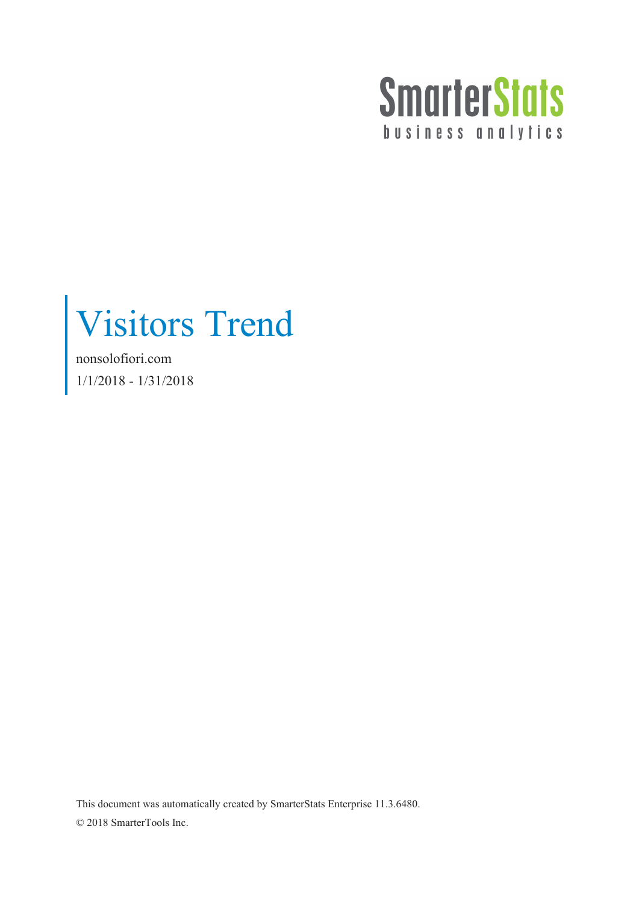

Visitors Trend

nonsolofiori.com 1/1/2018 - 1/31/2018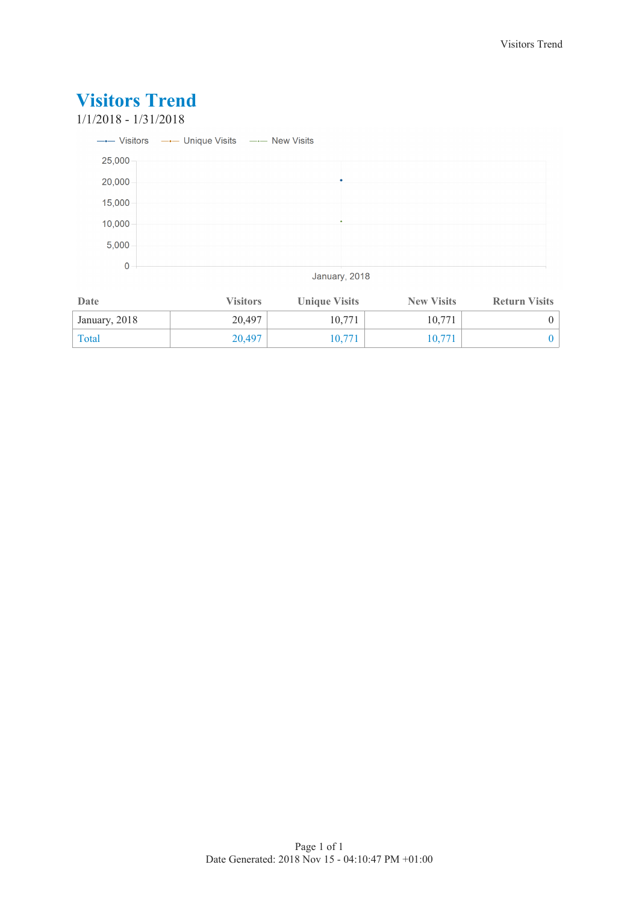### **Visitors Trend** 1/1/2018 - 1/31/2018 --- Visitors --- Unique Visits --- New Visits 25,000 20,000 15,000 10,000  $5,000$  $\overline{0}$ January, 2018

| Date          | <b>Visitors</b> | <b>Unique Visits</b> | <b>New Visits</b> | <b>Return Visits</b> |
|---------------|-----------------|----------------------|-------------------|----------------------|
| January, 2018 | 20.497          | 10.771               | 10.771            |                      |
| Total         | 20.497          | 10.771               | 10.771            |                      |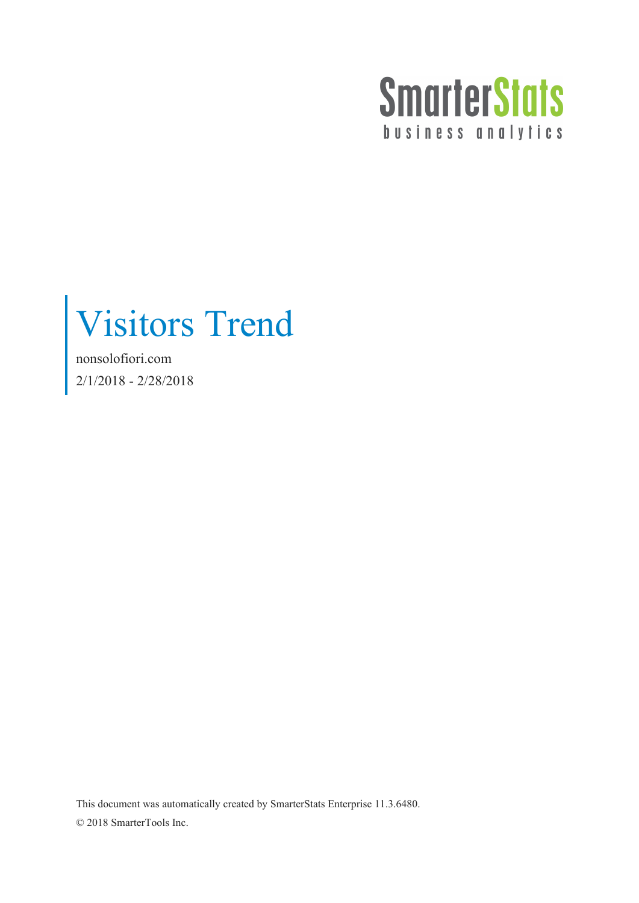

Visitors Trend

nonsolofiori.com 2/1/2018 - 2/28/2018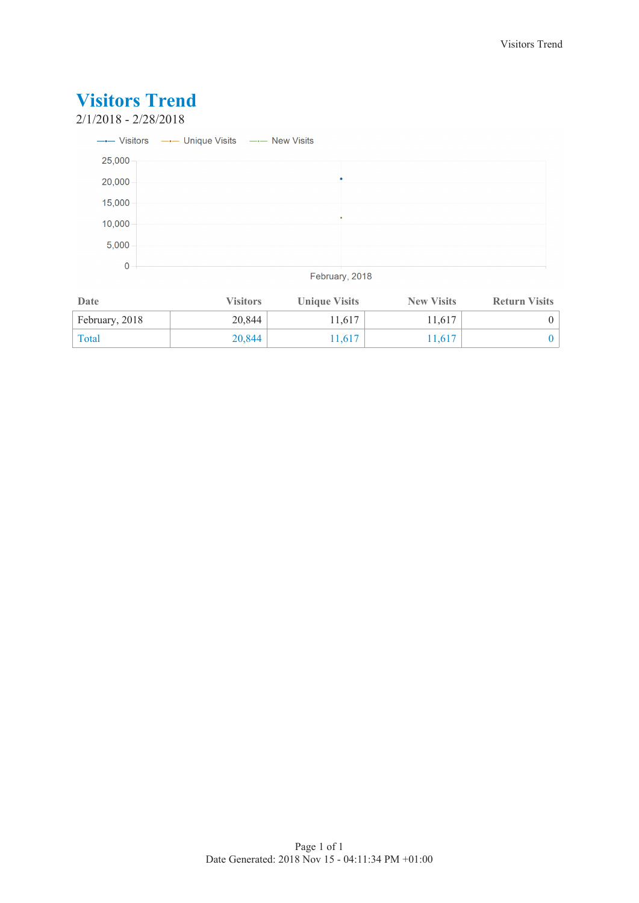

| Date           | <b>Visitors</b> | <b>Unique Visits</b> | <b>New Visits</b> | <b>Return Visits</b> |
|----------------|-----------------|----------------------|-------------------|----------------------|
| February, 2018 | 20,844          | 11,617               | 11.617            |                      |
| Total          | 20.844          | 1,617                | 1.617             |                      |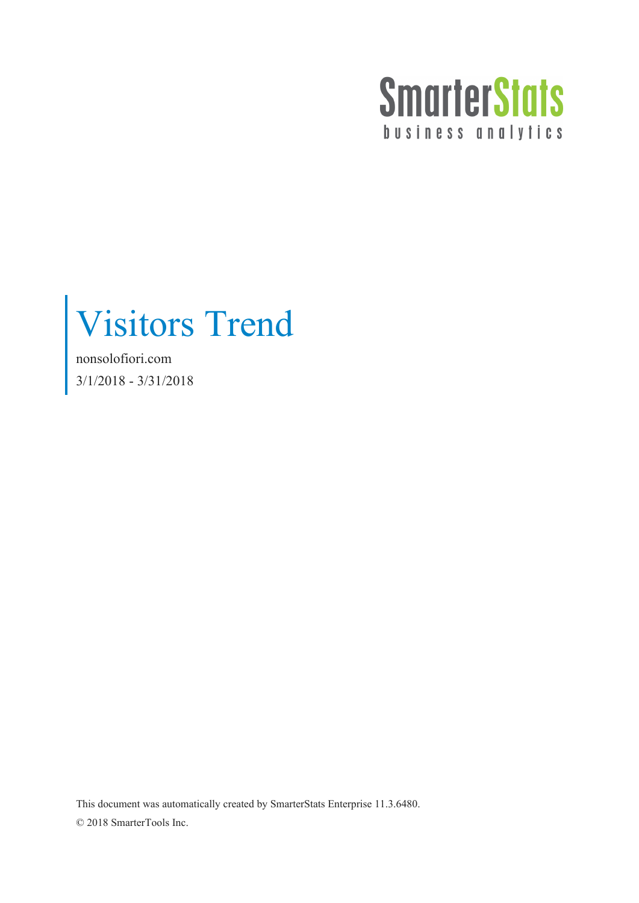

Visitors Trend

nonsolofiori.com 3/1/2018 - 3/31/2018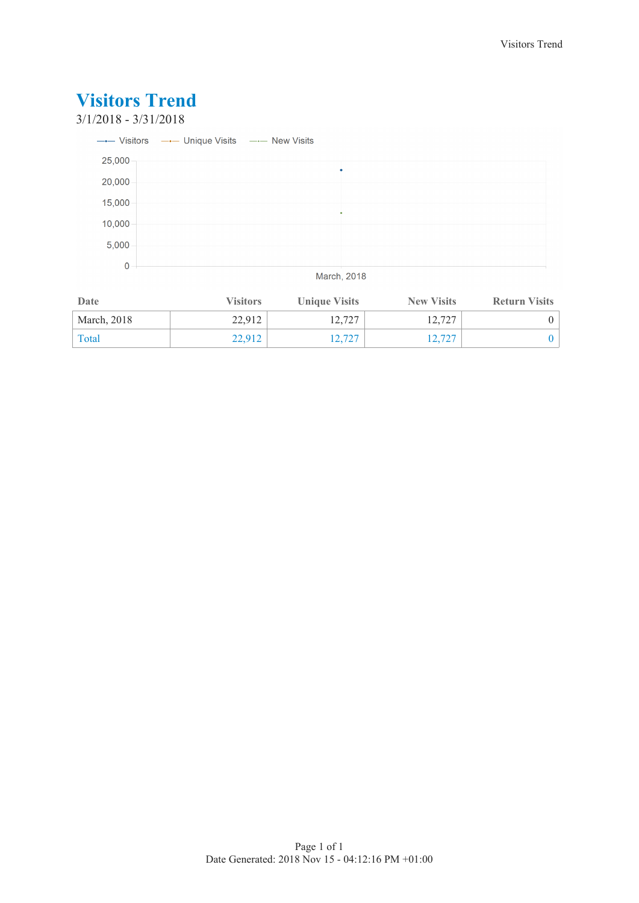### **Visitors Trend** 3/1/2018 - 3/31/2018 --- Visitors --- Unique Visits --- New Visits 25,000  $\ddot{\phantom{0}}$ 20,000 15,000 10,000  $5,000$  $\overline{0}$ March, 2018

| Date        | <b>Visitors</b> | <b>Unique Visits</b> | <b>New Visits</b> | <b>Return Visits</b> |
|-------------|-----------------|----------------------|-------------------|----------------------|
| March, 2018 | 22.912          | 12,727               | 12.727            |                      |
| Total       | 22,912          | 12,727               | 12.727            |                      |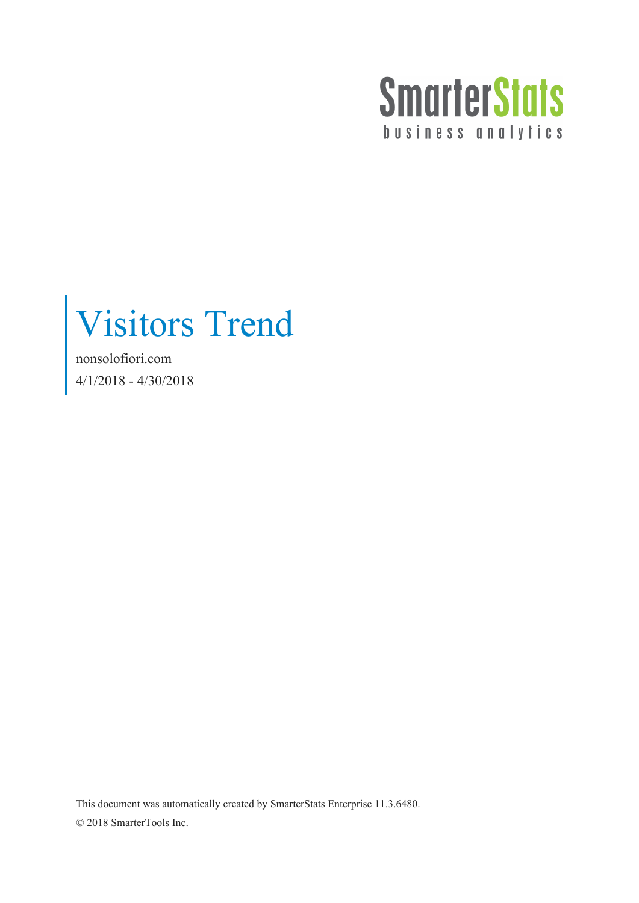

Visitors Trend

nonsolofiori.com 4/1/2018 - 4/30/2018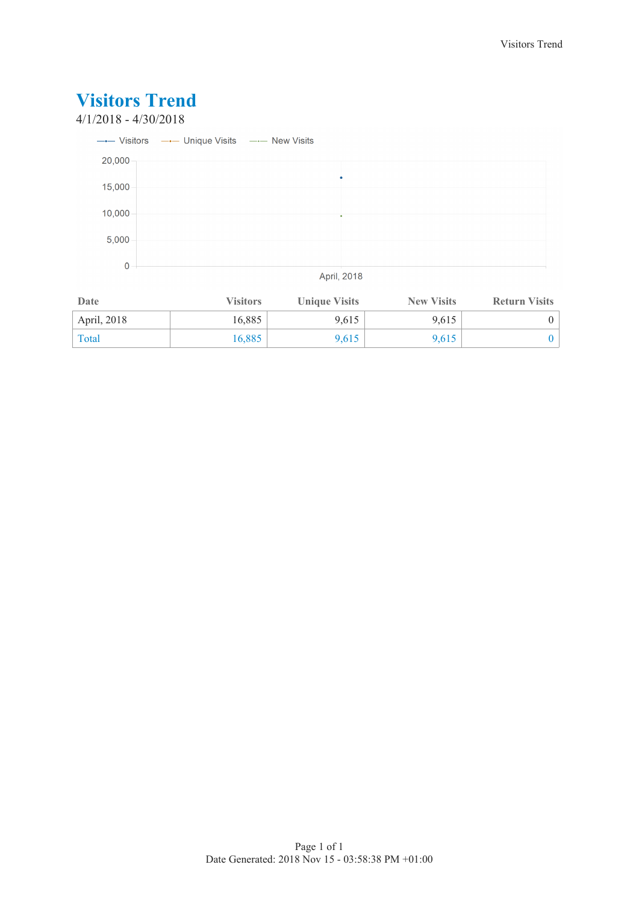### 4/1/2018 - 4/30/2018



| Date        | <b>Visitors</b> | <b>Unique Visits</b> | <b>New Visits</b> | <b>Return Visits</b> |
|-------------|-----------------|----------------------|-------------------|----------------------|
| April, 2018 | 16,885          | 9,615                | 9.615             |                      |
| Total       | 16,885          | 9,615                | 9.615             |                      |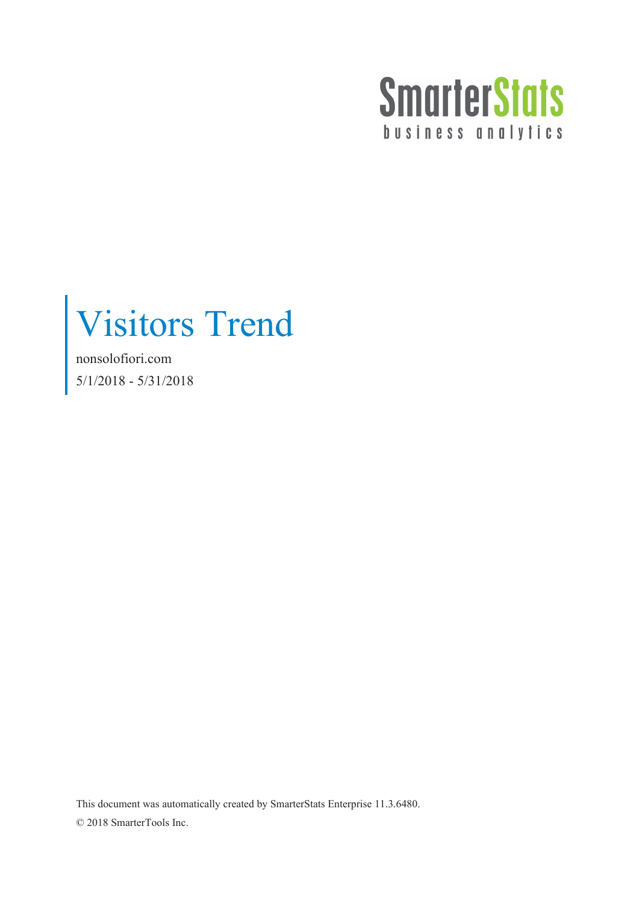

Visitors Trend

nonsolofiori.com 5/1/2018 - 5/31/2018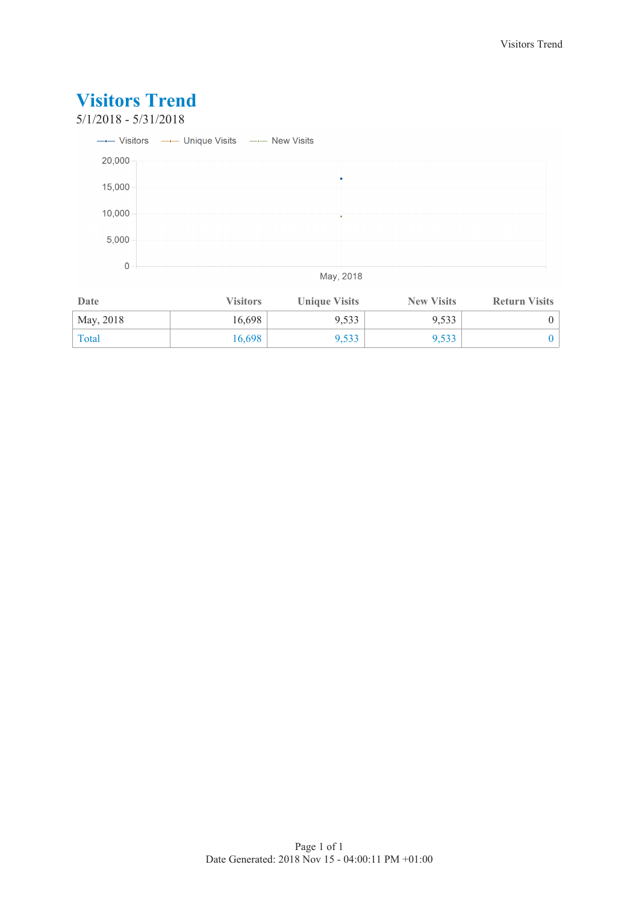

| Date      | <b>Visitors</b> | <b>Unique Visits</b> | <b>New Visits</b> | <b>Return Visits</b> |
|-----------|-----------------|----------------------|-------------------|----------------------|
| May, 2018 | 16,698          | 9,533                | 9,533             |                      |
| Total     | 16,698          | 9,533                | 9,533             |                      |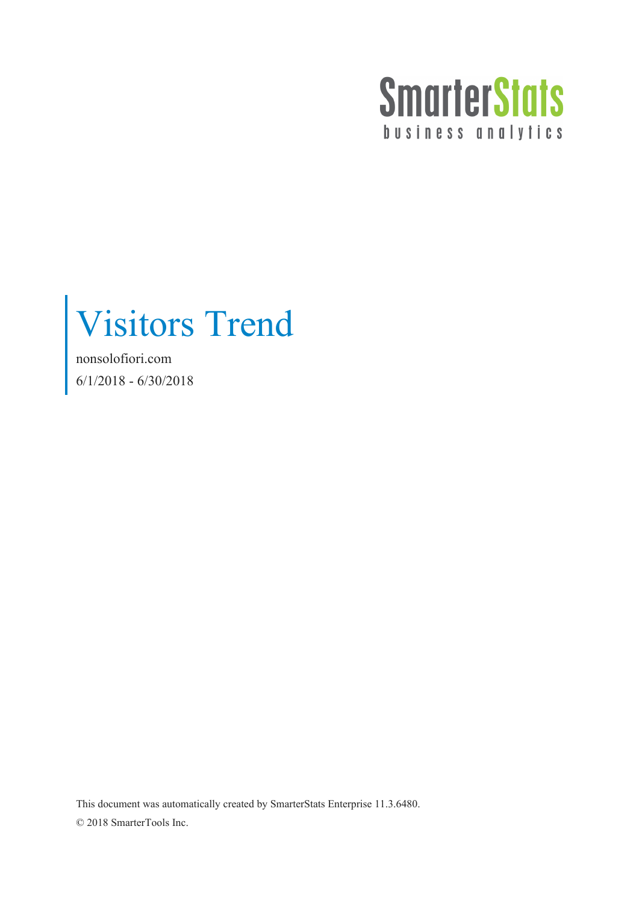

Visitors Trend

nonsolofiori.com 6/1/2018 - 6/30/2018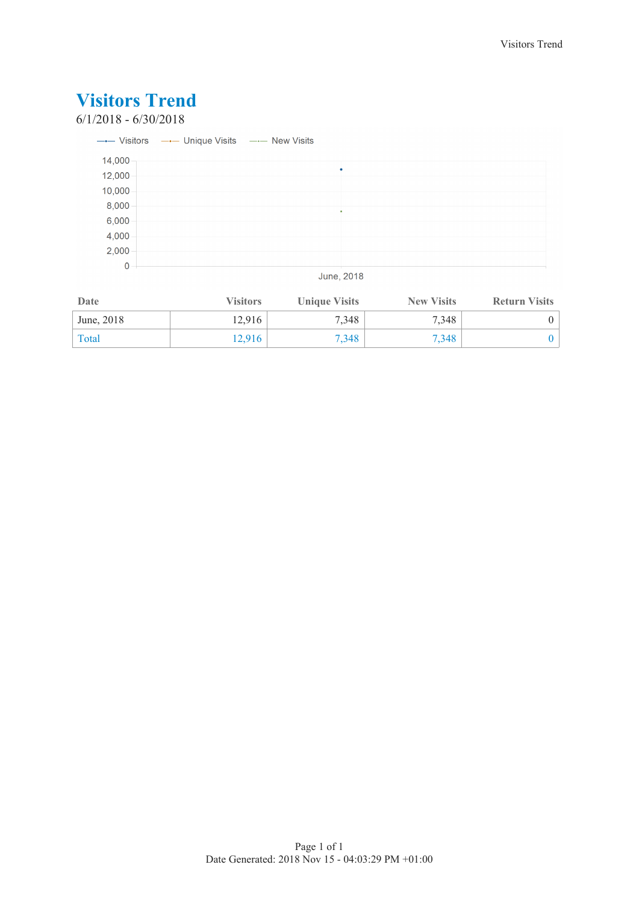### 6/1/2018 - 6/30/2018

|        | --- Visitors --- Unique Visits --- New Visits |  |  |
|--------|-----------------------------------------------|--|--|
| 14,000 |                                               |  |  |
| 12,000 |                                               |  |  |
| 10,000 |                                               |  |  |
| 8,000  |                                               |  |  |
| 6,000  |                                               |  |  |
| 4,000  |                                               |  |  |
| 2,000  |                                               |  |  |
| 0      |                                               |  |  |

June, 2018

| Date       | <b>Visitors</b> | <b>Unique Visits</b> | <b>New Visits</b> | <b>Return Visits</b> |
|------------|-----------------|----------------------|-------------------|----------------------|
| June, 2018 | 12.916          | 7,348                | 7.348             |                      |
| Total      | 12.916          | 7.348                | 7.348             |                      |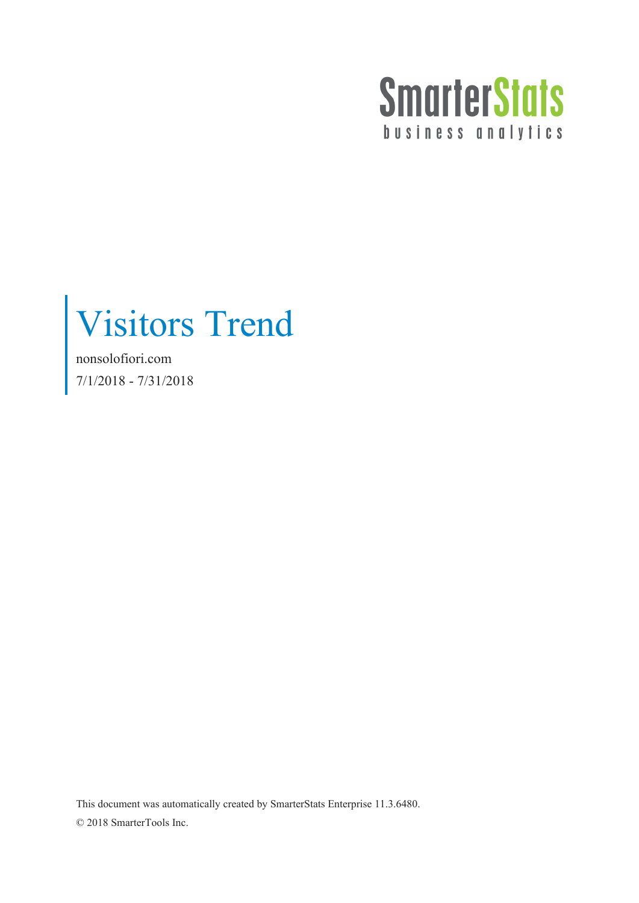

Visitors Trend

nonsolofiori.com 7/1/2018 - 7/31/2018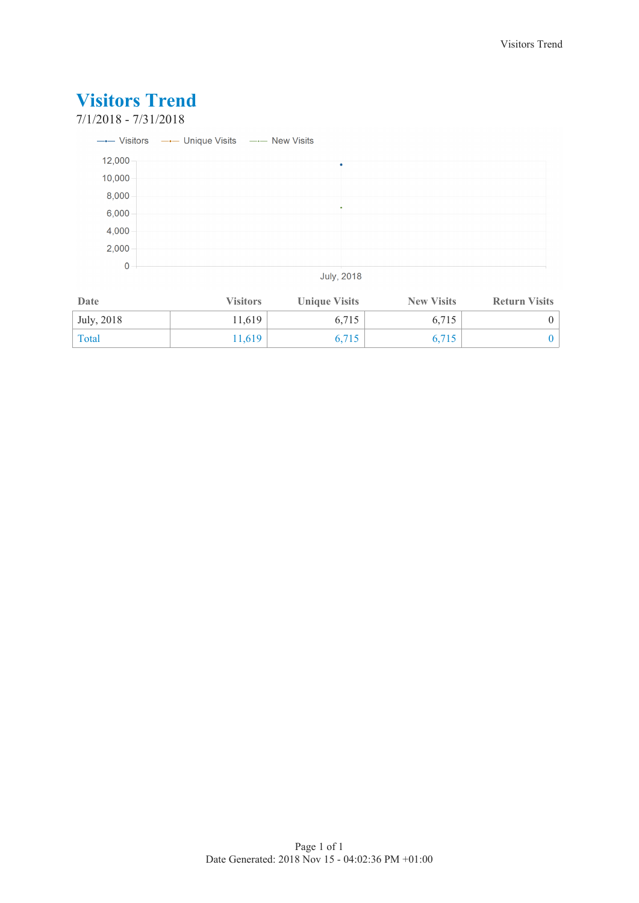### 7/1/2018 - 7/31/2018

|        | --- Visitors --- Unique Visits --- New Visits |   |
|--------|-----------------------------------------------|---|
| 12,000 |                                               | ٠ |
| 10,000 |                                               |   |
| 8,000  |                                               |   |
| 6,000  |                                               |   |
| 4,000  |                                               |   |
| 2,000  |                                               |   |
| 0      |                                               |   |

**July, 2018** 

| Date       | <b>Visitors</b> | <b>Unique Visits</b> | <b>New Visits</b> | <b>Return Visits</b> |
|------------|-----------------|----------------------|-------------------|----------------------|
| July, 2018 | 11.619          | 6,715                | 6.715             |                      |
| Total      | 1.619           | 6,715                | 6.715             |                      |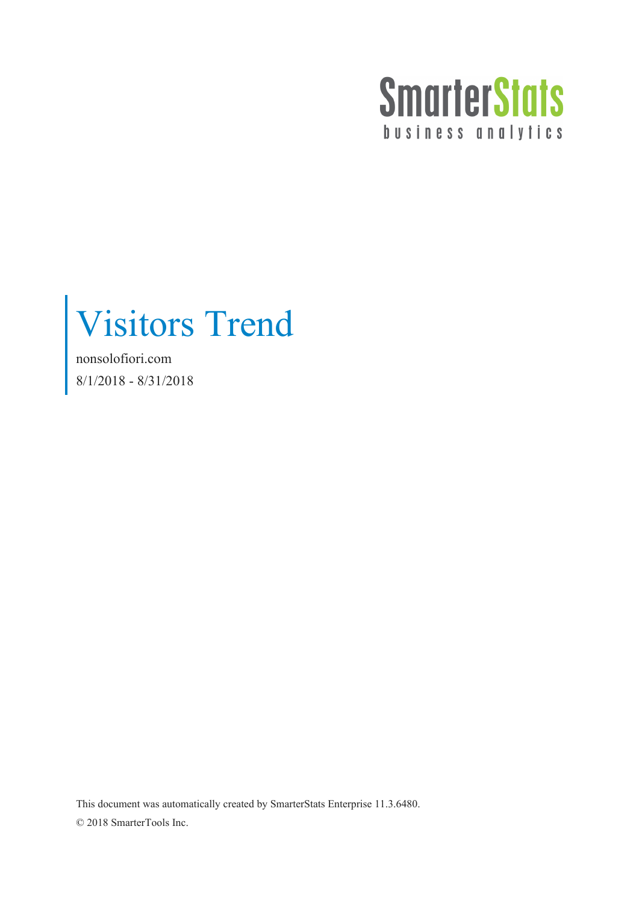

Visitors Trend

nonsolofiori.com 8/1/2018 - 8/31/2018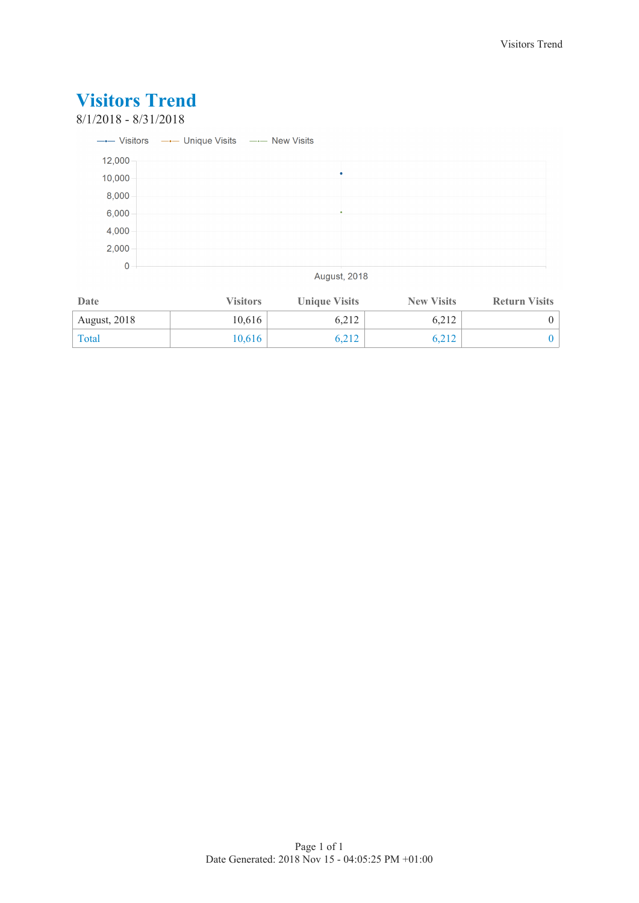### 8/1/2018 - 8/31/2018

|        | ---- Visitors --- Unique Visits --- New Visits |  |  |
|--------|------------------------------------------------|--|--|
| 12,000 |                                                |  |  |
| 10,000 |                                                |  |  |
| 8,000  |                                                |  |  |
| 6,000  |                                                |  |  |
| 4,000  |                                                |  |  |
| 2,000  |                                                |  |  |
| 0      |                                                |  |  |

**August, 2018** 

| Date                | <b>Visitors</b> | <b>Unique Visits</b> | <b>New Visits</b> | <b>Return Visits</b> |
|---------------------|-----------------|----------------------|-------------------|----------------------|
| <b>August, 2018</b> | 10.616          | 6,212                | 6,212             |                      |
| Total               | 10,616          | 6,212                | 6,212             |                      |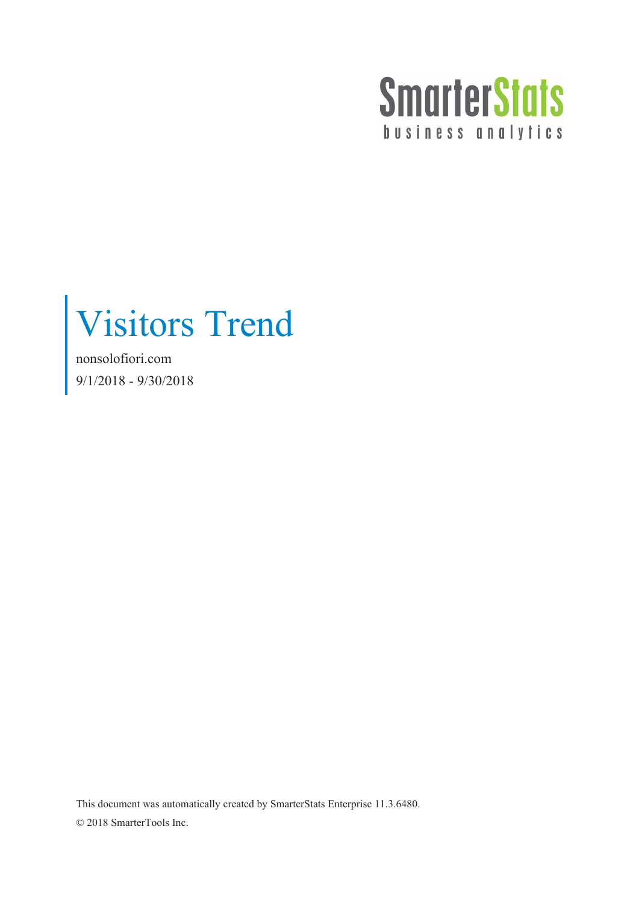

Visitors Trend

nonsolofiori.com 9/1/2018 - 9/30/2018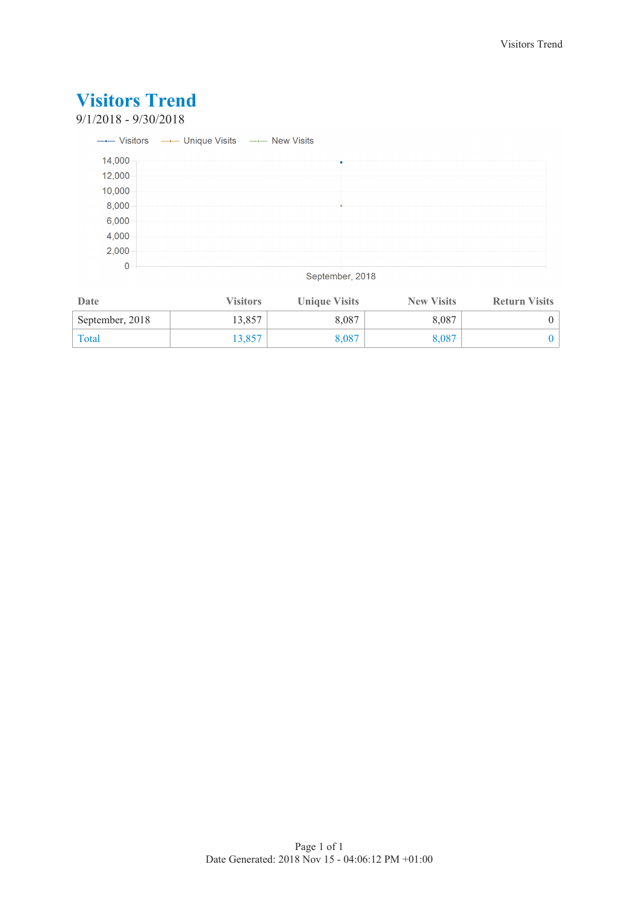### 9/1/2018 - 9/30/2018

|        | --- Visitors --- Unique Visits --- New Visits |  |
|--------|-----------------------------------------------|--|
| 14,000 |                                               |  |
| 12,000 |                                               |  |
| 10,000 |                                               |  |
| 8,000  |                                               |  |
| 6,000  |                                               |  |
| 4,000  |                                               |  |
| 2,000  |                                               |  |
| 0      |                                               |  |

#### September, 2018

| Date            | <b>Visitors</b> | <b>Unique Visits</b> | <b>New Visits</b> | <b>Return Visits</b> |
|-----------------|-----------------|----------------------|-------------------|----------------------|
| September, 2018 | 13,857          | 8,087                | 8.087             |                      |
| Total           | .3,857          | 8,087                | 8,087             |                      |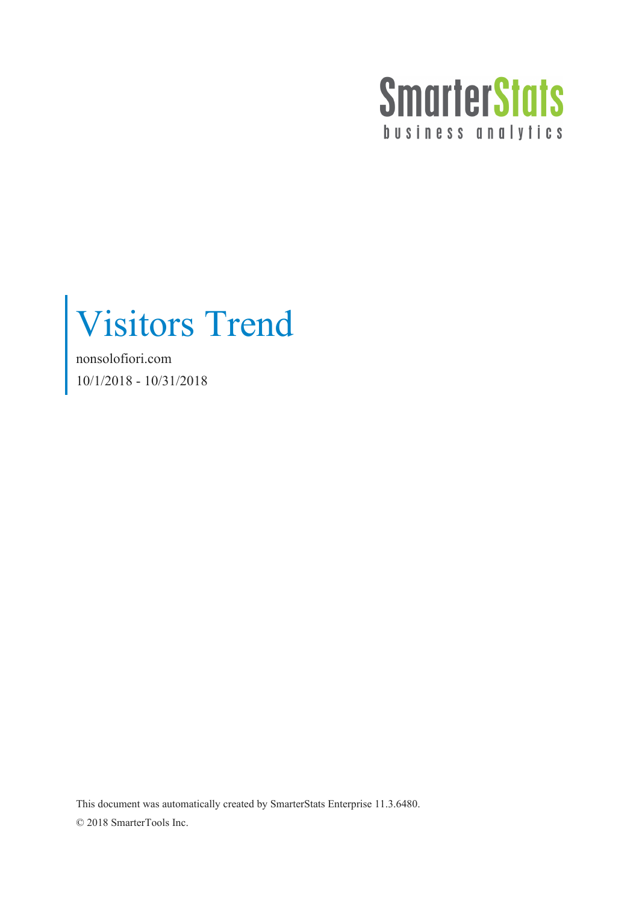

Visitors Trend

nonsolofiori.com 10/1/2018 - 10/31/2018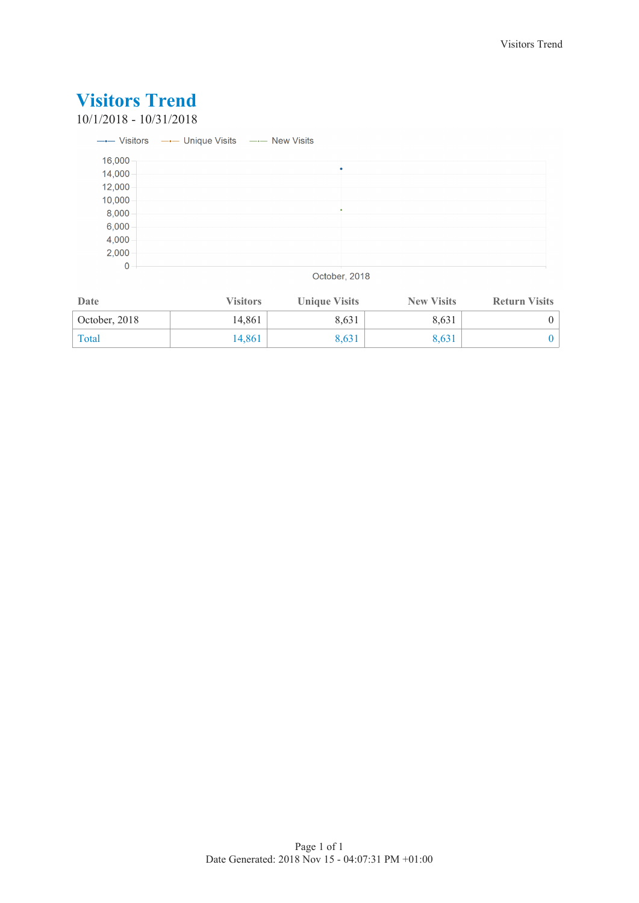10/1/2018 - 10/31/2018

|             | ---- Visitors --- Unique Visits --- New Visits |
|-------------|------------------------------------------------|
| 16,000      |                                                |
| 14,000      | ٠                                              |
| 12,000      |                                                |
| 10,000      |                                                |
| 8,000       |                                                |
| 6,000       |                                                |
| 4,000       |                                                |
| 2,000       |                                                |
| $\mathbf 0$ |                                                |

October, 2018

| Date          | <b>Visitors</b> | <b>Unique Visits</b> | <b>New Visits</b> | <b>Return Visits</b> |
|---------------|-----------------|----------------------|-------------------|----------------------|
| October, 2018 | 14.861          | 8,631                | 8.631             |                      |
| Total         | 14.861          | 8,631                | 8.631             |                      |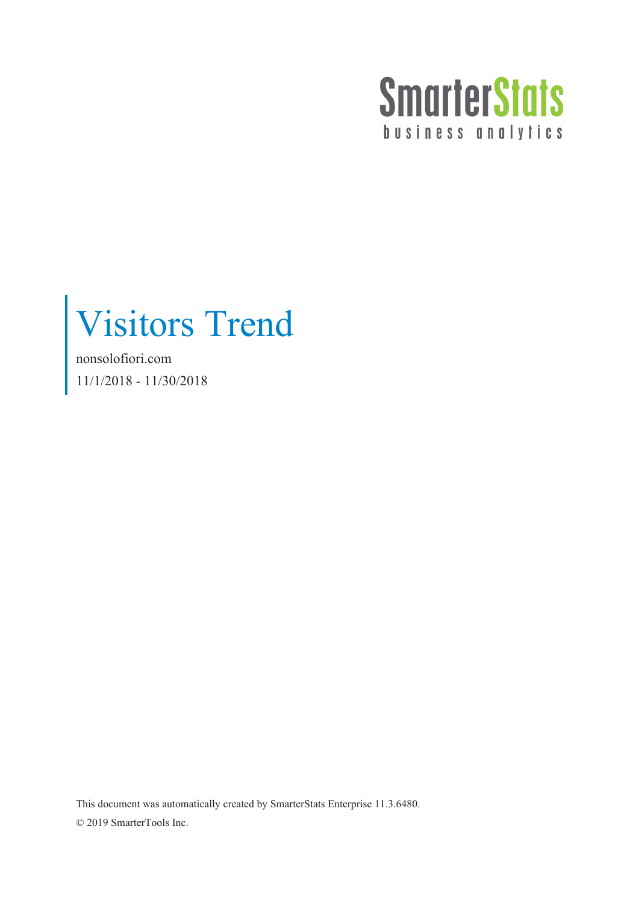

Visitors Trend

nonsolofiori.com 11/1/2018 - 11/30/2018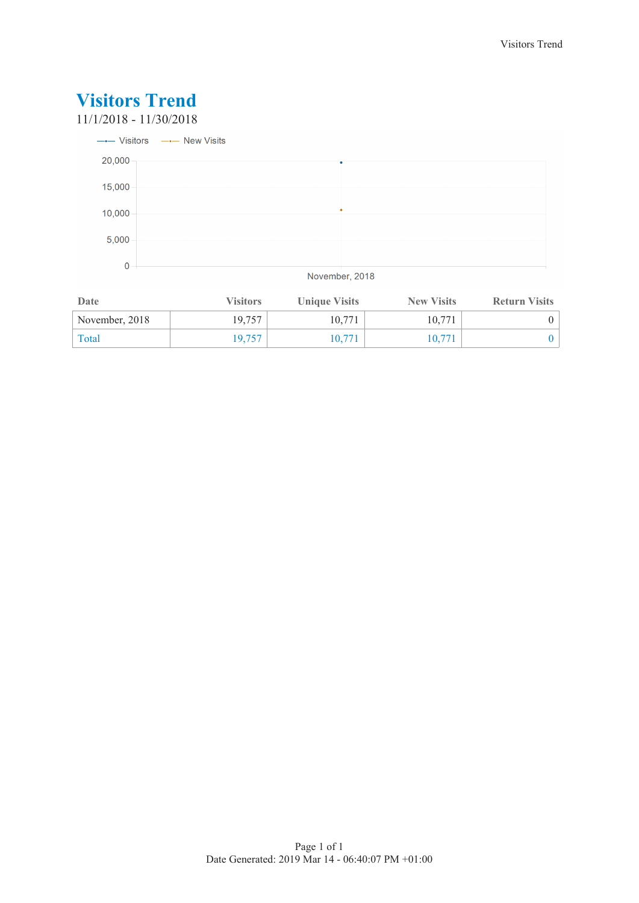11/1/2018 - 11/30/2018



November, 2018

| Date           | <b>Visitors</b> | <b>Unique Visits</b> | <b>New Visits</b> | <b>Return Visits</b> |
|----------------|-----------------|----------------------|-------------------|----------------------|
| November, 2018 | 19,757          | 10.771               | 10.771            |                      |
| Total          | 19.757          | 10.771               | 10.771            |                      |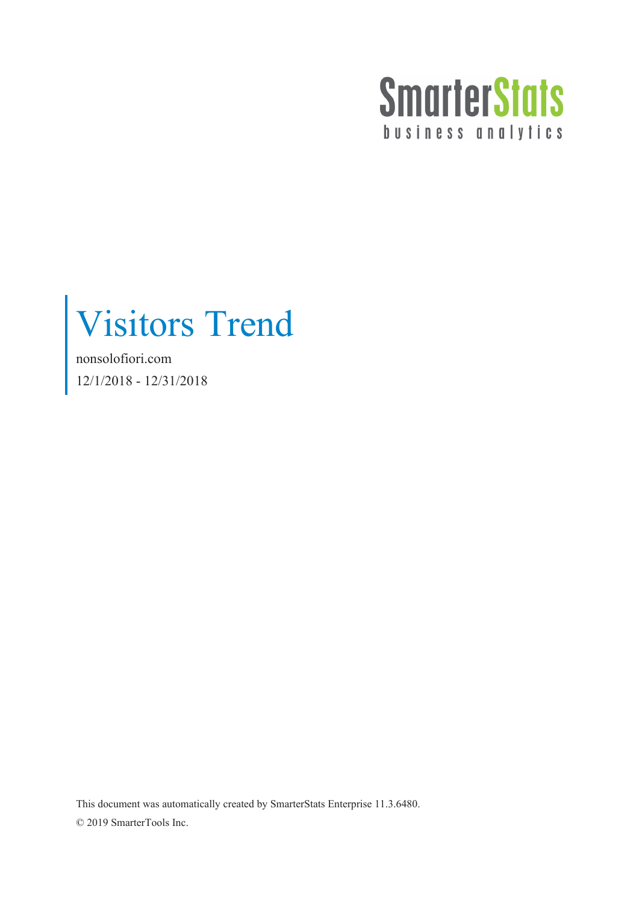

Visitors Trend

nonsolofiori.com 12/1/2018 - 12/31/2018